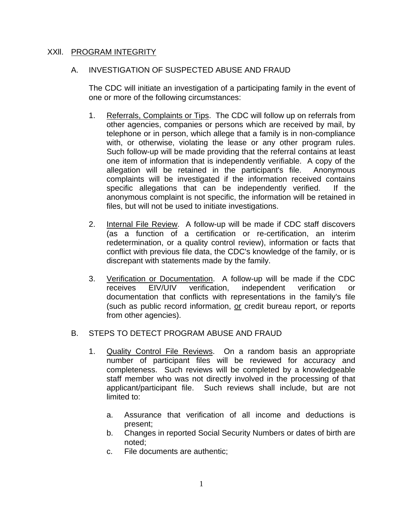### XXll. PROGRAM INTEGRITY

### A. INVESTIGATION OF SUSPECTED ABUSE AND FRAUD

The CDC will initiate an investigation of a participating family in the event of one or more of the following circumstances:

- 1. Referrals, Complaints or Tips. The CDC will follow up on referrals from other agencies, companies or persons which are received by mail, by telephone or in person, which allege that a family is in non-compliance with, or otherwise, violating the lease or any other program rules. Such follow-up will be made providing that the referral contains at least one item of information that is independently verifiable. A copy of the allegation will be retained in the participant's file. Anonymous complaints will be investigated if the information received contains specific allegations that can be independently verified. If the anonymous complaint is not specific, the information will be retained in files, but will not be used to initiate investigations.
- 2. Internal File Review. A follow-up will be made if CDC staff discovers (as a function of a certification or re-certification, an interim redetermination, or a quality control review), information or facts that conflict with previous file data, the CDC's knowledge of the family, or is discrepant with statements made by the family.
- 3. Verification or Documentation. A follow-up will be made if the CDC receives EIV/UIV verification, independent verification or documentation that conflicts with representations in the family's file (such as public record information, or credit bureau report, or reports from other agencies).

## B. STEPS TO DETECT PROGRAM ABUSE AND FRAUD

- 1. Quality Control File Reviews. On a random basis an appropriate number of participant files will be reviewed for accuracy and completeness. Such reviews will be completed by a knowledgeable staff member who was not directly involved in the processing of that applicant/participant file. Such reviews shall include, but are not limited to:
	- a. Assurance that verification of all income and deductions is present;
	- b. Changes in reported Social Security Numbers or dates of birth are noted;
	- c. File documents are authentic;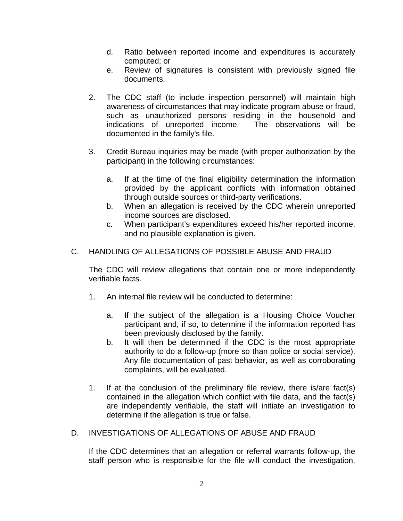- d. Ratio between reported income and expenditures is accurately computed; or
- e. Review of signatures is consistent with previously signed file documents.
- 2. The CDC staff (to include inspection personnel) will maintain high awareness of circumstances that may indicate program abuse or fraud, such as unauthorized persons residing in the household and indications of unreported income. The observations will be documented in the family's file.
- 3. Credit Bureau inquiries may be made (with proper authorization by the participant) in the following circumstances:
	- a. If at the time of the final eligibility determination the information provided by the applicant conflicts with information obtained through outside sources or third-party verifications.
	- b. When an allegation is received by the CDC wherein unreported income sources are disclosed.
	- c. When participant's expenditures exceed his/her reported income, and no plausible explanation is given.
- C. HANDLING OF ALLEGATIONS OF POSSIBLE ABUSE AND FRAUD

The CDC will review allegations that contain one or more independently verifiable facts.

- 1. An internal file review will be conducted to determine:
	- a. If the subject of the allegation is a Housing Choice Voucher participant and, if so, to determine if the information reported has been previously disclosed by the family.
	- b. It will then be determined if the CDC is the most appropriate authority to do a follow-up (more so than police or social service). Any file documentation of past behavior, as well as corroborating complaints, will be evaluated.
- 1. If at the conclusion of the preliminary file review, there is/are fact(s) contained in the allegation which conflict with file data, and the fact(s) are independently verifiable, the staff will initiate an investigation to determine if the allegation is true or false.
- D. INVESTIGATIONS OF ALLEGATIONS OF ABUSE AND FRAUD

If the CDC determines that an allegation or referral warrants follow-up, the staff person who is responsible for the file will conduct the investigation.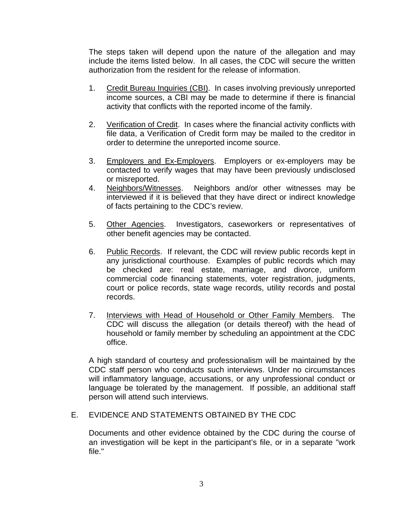The steps taken will depend upon the nature of the allegation and may include the items listed below. In all cases, the CDC will secure the written authorization from the resident for the release of information.

- 1. Credit Bureau Inquiries (CBI). In cases involving previously unreported income sources, a CBI may be made to determine if there is financial activity that conflicts with the reported income of the family.
- 2. Verification of Credit. In cases where the financial activity conflicts with file data, a Verification of Credit form may be mailed to the creditor in order to determine the unreported income source.
- 3. Employers and Ex-Employers. Employers or ex-employers may be contacted to verify wages that may have been previously undisclosed or misreported.
- 4. Neighbors/Witnesses. Neighbors and/or other witnesses may be interviewed if it is believed that they have direct or indirect knowledge of facts pertaining to the CDC's review.
- 5. Other Agencies. Investigators, caseworkers or representatives of other benefit agencies may be contacted.
- 6. Public Records. If relevant, the CDC will review public records kept in any jurisdictional courthouse. Examples of public records which may be checked are: real estate, marriage, and divorce, uniform commercial code financing statements, voter registration, judgments, court or police records, state wage records, utility records and postal records.
- 7. Interviews with Head of Household or Other Family Members. The CDC will discuss the allegation (or details thereof) with the head of household or family member by scheduling an appointment at the CDC office.

A high standard of courtesy and professionalism will be maintained by the CDC staff person who conducts such interviews. Under no circumstances will inflammatory language, accusations, or any unprofessional conduct or language be tolerated by the management. If possible, an additional staff person will attend such interviews.

## E. EVIDENCE AND STATEMENTS OBTAINED BY THE CDC

Documents and other evidence obtained by the CDC during the course of an investigation will be kept in the participant's file, or in a separate "work file."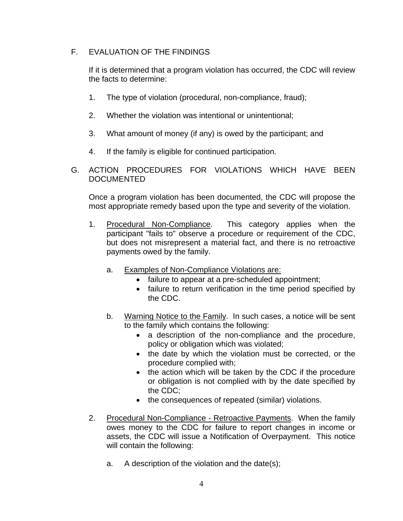# F. EVALUATION OF THE FINDINGS

If it is determined that a program violation has occurred, the CDC will review the facts to determine:

- 1. The type of violation (procedural, non-compliance, fraud);
- 2. Whether the violation was intentional or unintentional;
- 3. What amount of money (if any) is owed by the participant; and
- 4. If the family is eligible for continued participation.
- G. ACTION PROCEDURES FOR VIOLATIONS WHICH HAVE BEEN DOCUMENTED

Once a program violation has been documented, the CDC will propose the most appropriate remedy based upon the type and severity of the violation.

- 1. Procedural Non-Compliance. This category applies when the participant "fails to" observe a procedure or requirement of the CDC, but does not misrepresent a material fact, and there is no retroactive payments owed by the family.
	- a. Examples of Non-Compliance Violations are:
		- failure to appear at a pre-scheduled appointment;
		- failure to return verification in the time period specified by the CDC.
	- b. Warning Notice to the Family. In such cases, a notice will be sent to the family which contains the following:
		- a description of the non-compliance and the procedure, policy or obligation which was violated;
		- the date by which the violation must be corrected, or the procedure complied with;
		- the action which will be taken by the CDC if the procedure or obligation is not complied with by the date specified by the CDC;
		- the consequences of repeated (similar) violations.
- 2. Procedural Non-Compliance Retroactive Payments. When the family owes money to the CDC for failure to report changes in income or assets, the CDC will issue a Notification of Overpayment. This notice will contain the following:
	- a. A description of the violation and the date(s);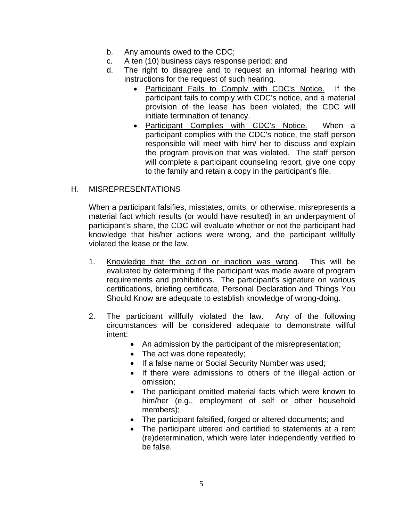- b. Any amounts owed to the CDC;
- c. A ten (10) business days response period; and
- d. The right to disagree and to request an informal hearing with instructions for the request of such hearing.
	- Participant Fails to Comply with CDC's Notice. If the participant fails to comply with CDC's notice, and a material provision of the lease has been violated, the CDC will initiate termination of tenancy.
	- Participant Complies with CDC's Notice. When a participant complies with the CDC's notice, the staff person responsible will meet with him/ her to discuss and explain the program provision that was violated. The staff person will complete a participant counseling report, give one copy to the family and retain a copy in the participant's file.

# H. MISREPRESENTATIONS

When a participant falsifies, misstates, omits, or otherwise, misrepresents a material fact which results (or would have resulted) in an underpayment of participant's share, the CDC will evaluate whether or not the participant had knowledge that his/her actions were wrong, and the participant willfully violated the lease or the law.

- 1. Knowledge that the action or inaction was wrong. This will be evaluated by determining if the participant was made aware of program requirements and prohibitions. The participant's signature on various certifications, briefing certificate, Personal Declaration and Things You Should Know are adequate to establish knowledge of wrong-doing.
- 2. The participant willfully violated the law. Any of the following circumstances will be considered adequate to demonstrate willful intent:
	- An admission by the participant of the misrepresentation;
	- The act was done repeatedly;
	- If a false name or Social Security Number was used;
	- If there were admissions to others of the illegal action or omission;
	- The participant omitted material facts which were known to him/her (e.g., employment of self or other household members);
	- The participant falsified, forged or altered documents; and
	- The participant uttered and certified to statements at a rent (re)determination, which were later independently verified to be false.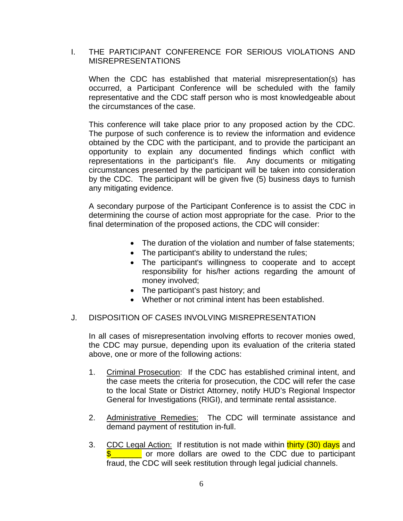### I. THE PARTICIPANT CONFERENCE FOR SERIOUS VIOLATIONS AND MISREPRESENTATIONS

When the CDC has established that material misrepresentation(s) has occurred, a Participant Conference will be scheduled with the family representative and the CDC staff person who is most knowledgeable about the circumstances of the case.

This conference will take place prior to any proposed action by the CDC. The purpose of such conference is to review the information and evidence obtained by the CDC with the participant, and to provide the participant an opportunity to explain any documented findings which conflict with representations in the participant's file. Any documents or mitigating circumstances presented by the participant will be taken into consideration by the CDC. The participant will be given five (5) business days to furnish any mitigating evidence.

A secondary purpose of the Participant Conference is to assist the CDC in determining the course of action most appropriate for the case. Prior to the final determination of the proposed actions, the CDC will consider:

- The duration of the violation and number of false statements:
- The participant's ability to understand the rules;
- The participant's willingness to cooperate and to accept responsibility for his/her actions regarding the amount of money involved;
- The participant's past history; and
- Whether or not criminal intent has been established.

#### J. DISPOSITION OF CASES INVOLVING MISREPRESENTATION

In all cases of misrepresentation involving efforts to recover monies owed, the CDC may pursue, depending upon its evaluation of the criteria stated above, one or more of the following actions:

- 1. Criminal Prosecution: If the CDC has established criminal intent, and the case meets the criteria for prosecution, the CDC will refer the case to the local State or District Attorney, notify HUD's Regional Inspector General for Investigations (RIGI), and terminate rental assistance.
- 2. Administrative Remedies: The CDC will terminate assistance and demand payment of restitution in-full.
- 3. CDC Legal Action: If restitution is not made within thirty (30) days and **\$** The or more dollars are owed to the CDC due to participant fraud, the CDC will seek restitution through legal judicial channels.